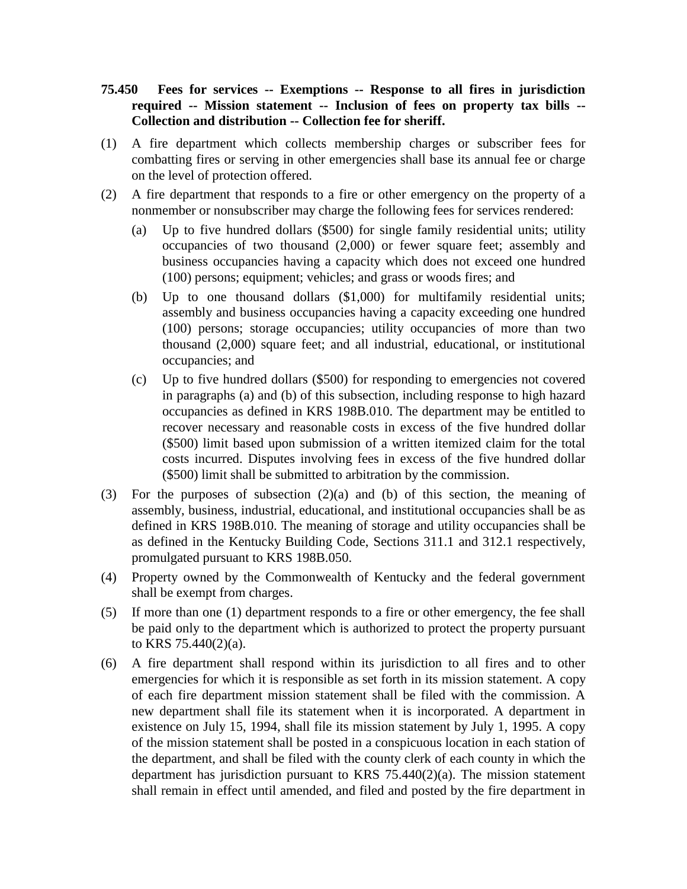## **75.450 Fees for services -- Exemptions -- Response to all fires in jurisdiction required -- Mission statement -- Inclusion of fees on property tax bills -- Collection and distribution -- Collection fee for sheriff.**

- (1) A fire department which collects membership charges or subscriber fees for combatting fires or serving in other emergencies shall base its annual fee or charge on the level of protection offered.
- (2) A fire department that responds to a fire or other emergency on the property of a nonmember or nonsubscriber may charge the following fees for services rendered:
	- (a) Up to five hundred dollars (\$500) for single family residential units; utility occupancies of two thousand (2,000) or fewer square feet; assembly and business occupancies having a capacity which does not exceed one hundred (100) persons; equipment; vehicles; and grass or woods fires; and
	- (b) Up to one thousand dollars (\$1,000) for multifamily residential units; assembly and business occupancies having a capacity exceeding one hundred (100) persons; storage occupancies; utility occupancies of more than two thousand (2,000) square feet; and all industrial, educational, or institutional occupancies; and
	- (c) Up to five hundred dollars (\$500) for responding to emergencies not covered in paragraphs (a) and (b) of this subsection, including response to high hazard occupancies as defined in KRS 198B.010. The department may be entitled to recover necessary and reasonable costs in excess of the five hundred dollar (\$500) limit based upon submission of a written itemized claim for the total costs incurred. Disputes involving fees in excess of the five hundred dollar (\$500) limit shall be submitted to arbitration by the commission.
- (3) For the purposes of subsection (2)(a) and (b) of this section, the meaning of assembly, business, industrial, educational, and institutional occupancies shall be as defined in KRS 198B.010. The meaning of storage and utility occupancies shall be as defined in the Kentucky Building Code, Sections 311.1 and 312.1 respectively, promulgated pursuant to KRS 198B.050.
- (4) Property owned by the Commonwealth of Kentucky and the federal government shall be exempt from charges.
- (5) If more than one (1) department responds to a fire or other emergency, the fee shall be paid only to the department which is authorized to protect the property pursuant to KRS 75.440(2)(a).
- (6) A fire department shall respond within its jurisdiction to all fires and to other emergencies for which it is responsible as set forth in its mission statement. A copy of each fire department mission statement shall be filed with the commission. A new department shall file its statement when it is incorporated. A department in existence on July 15, 1994, shall file its mission statement by July 1, 1995. A copy of the mission statement shall be posted in a conspicuous location in each station of the department, and shall be filed with the county clerk of each county in which the department has jurisdiction pursuant to KRS 75.440(2)(a). The mission statement shall remain in effect until amended, and filed and posted by the fire department in